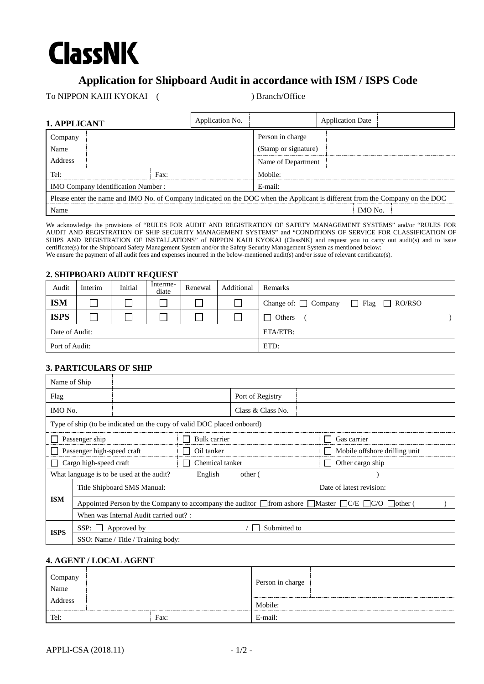# **ClassNK**

# **Application for Shipboard Audit in accordance with ISM / ISPS Code**

To NIPPON KAIJI KYOKAI ( ) Branch/Office

| 1. APPLICANT                                                                                                                  |      | Application No. |                      | <b>Application Date</b> |  |  |
|-------------------------------------------------------------------------------------------------------------------------------|------|-----------------|----------------------|-------------------------|--|--|
| Company<br>Name                                                                                                               |      |                 | Person in charge     |                         |  |  |
|                                                                                                                               |      |                 | (Stamp or signature) |                         |  |  |
| <b>Address</b>                                                                                                                |      |                 |                      | Name of Department      |  |  |
| Tel:                                                                                                                          | Fax: |                 |                      | Mobile:                 |  |  |
| <b>IMO Company Identification Number:</b>                                                                                     |      |                 | E-mail:              |                         |  |  |
| Please enter the name and IMO No. of Company indicated on the DOC when the Applicant is different from the Company on the DOC |      |                 |                      |                         |  |  |
| Name                                                                                                                          |      |                 | IMO No.              |                         |  |  |

We acknowledge the provisions of "RULES FOR AUDIT AND REGISTRATION OF SAFETY MANAGEMENT SYSTEMS" and/or "RULES FOR AUDIT AND REGISTRATION OF SHIP SECURITY MANAGEMENT SYSTEMS" and "CONDITIONS OF SERVICE FOR CLASSIFICATION OF SHIPS AND REGISTRATION OF INSTALLATIONS" of NIPPON KAIJI KYOKAI (ClassNK) and request you to carry out audit(s) and to issue certificate(s) for the Shipboard Safety Management System and/or the Safety Security Management System as mentioned below: We ensure the payment of all audit fees and expenses incurred in the below-mentioned audit(s) and/or issue of relevant certificate(s).

#### **2. SHIPBOARD AUDIT REQUEST**

| Audit          | Interim | Initial | Interme-<br>diate | Renewal | Additional | Remarks                                             |
|----------------|---------|---------|-------------------|---------|------------|-----------------------------------------------------|
| <b>ISM</b>     |         |         |                   |         |            | Change of: $\Box$ Company $\Box$ Flag $\Box$ RO/RSO |
| <b>ISPS</b>    |         |         |                   |         |            | Others<br>$\Box$                                    |
| Date of Audit: |         |         |                   |         | ETA/ETB:   |                                                     |
| Port of Audit: |         |         |                   |         | ETD:       |                                                     |

# **3. PARTICULARS OF SHIP**

| Name of Ship                                                           |                                                                                                                              |                 |  |                          |                               |  |  |
|------------------------------------------------------------------------|------------------------------------------------------------------------------------------------------------------------------|-----------------|--|--------------------------|-------------------------------|--|--|
| Flag                                                                   |                                                                                                                              |                 |  | Port of Registry         |                               |  |  |
| IMO No.                                                                |                                                                                                                              |                 |  | Class & Class No.        |                               |  |  |
| Type of ship (to be indicated on the copy of valid DOC placed onboard) |                                                                                                                              |                 |  |                          |                               |  |  |
| Passenger ship                                                         |                                                                                                                              | Bulk carrier    |  | Gas carrier              |                               |  |  |
| Passenger high-speed craft                                             |                                                                                                                              | Oil tanker      |  |                          | Mobile offshore drilling unit |  |  |
| Cargo high-speed craft                                                 |                                                                                                                              | Chemical tanker |  |                          | Other cargo ship              |  |  |
| What language is to be used at the audit?<br>English<br>other (        |                                                                                                                              |                 |  |                          |                               |  |  |
|                                                                        | Title Shipboard SMS Manual:                                                                                                  |                 |  | Date of latest revision: |                               |  |  |
| <b>ISM</b>                                                             | Appointed Person by the Company to accompany the auditor $\Box$ from ashore $\Box$ Master $\Box$ C/E $\Box$ C/O $\Box$ other |                 |  |                          |                               |  |  |
| When was Internal Audit carried out? :                                 |                                                                                                                              |                 |  |                          |                               |  |  |
| <b>ISPS</b>                                                            | $SSP: \Box$                                                                                                                  | Approved by     |  | Submitted to             |                               |  |  |
|                                                                        | SSO: Name / Title / Training body:                                                                                           |                 |  |                          |                               |  |  |

#### **4. AGENT / LOCAL AGENT**

| Company<br>Name<br>Address |      | Person in charge |  |
|----------------------------|------|------------------|--|
|                            |      | Mobile:          |  |
| Tel:                       | Fax: | E-mail:          |  |